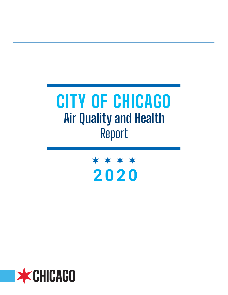# **CITY OF CHICAGO Air Quality and Health** Report

\* \* \* \* **2020**

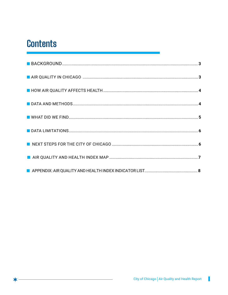### **Contents**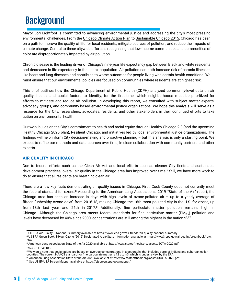## **Background**

Mayor Lori Lightfoot is committed to advancing environmental justice and addressing the city's most pressing environmental challenges. From the [Chicago Climate Action Plan](http://www.chicagoclimateaction.org/filebin/pdf/finalreport/CCAPREPORTFINALv2.pdf) to [Sustainable Chicago 2015,](https://www.chicago.gov/city/en/progs/env/sustainable_chicago2015.html) Chicago has been on a path to improve the quality of life for local residents, mitigate sources of pollution, and reduce the impacts of climate change. Central to these citywide efforts is recognizing that low-income communities and communities of color are disproportionately impacted by air pollution.

Chronic disease is the leading driver of Chicago's nine-year life expectancy gap between Black and white residents and decreases in life expectancy in the Latinx population. Air pollution can both increase risk of chronic illnesses like heart and lung diseases and contribute to worse outcomes for people living with certain health conditions. We must ensure that our environmental policies are focused on communities where residents are at highest risk.

This brief outlines how the Chicago Department of Public Health (CDPH) analyzed community-level data on air quality, health, and social factors to identify, for the first time, which neighborhoods must be prioritized for efforts to mitigate and reduce air pollution. In developing this report, we consulted with subject matter experts, advocacy groups, and community-based environmental justice organizations. We hope this analysis will serve as a resource for the City, researchers, advocates, residents, and other stakeholders in their continued efforts to take action on environmental health.

Our work builds on the City's commitment to health and racial equity through [Healthy Chicago 2.0](https://www.chicago.gov/content/dam/city/depts/cdph/CDPH/HC2.0Plan_3252016.pdf) (and the upcoming Healthy Chicago 2025 plan), [Resilient Chicago,](https://resilient.chicago.gov/download/Resilient Chicago.pdf) and initiatives led by local environmental justice organizations. The findings will help inform City decision-making and proactive planning – but this analysis is only a starting point. We expect to refine our methods and data sources over time, in close collaboration with community partners and other experts.

#### **AIR QUALITY IN CHICAGO**

Due to federal efforts such as the Clean Air Act and local efforts such as cleaner City fleets and sustainable development practices, overall air quality in the Chicago area has improved over time.**1** Still, we have more work to do to ensure that all residents are breathing clean air.

There are a few key facts demonstrating air quality issues in Chicago. First, Cook County does not currently meet the federal standard for ozone.**2** According to the American Lung Association's 2019 "State of the Air" report, the Chicago area has seen an increase in days with high levels of ozone-polluted air – up to a yearly average of fifteen "unhealthy ozone days" from 2016-18, making Chicago the 16th most polluted city in the U.S. for ozone, up from 18th last year and 26th in 2017.**3** Additionally, fine particulate matter pollution remains high in Chicago. Although the Chicago area meets federal standards for fine particulate matter (PM<sub>2.5</sub>) pollution and levels have decreased by 40% since 2000, concentrations are still among the highest in the nation.**4,5,6,7**

**3** American Lung Association State of the Air 2020 available at http://www.stateoftheair.org/assets/SOTA-2020.pdf.

**4**  [See](https://www.lung.org/assets/documents/healthy-air/state-of-the-air/sota-2019-full.pdf) [78 FR 48103](https://www.federalregister.gov/documents/2013/08/07/2013-18948/approval-and-promulgation-of-air-quality-implementation-plans-illinois-redesignation-of-the-chicago)

<sup>5</sup> We would note that designations are based on average concentrations in a geography that includes parts of Indiana and suburban collar<br>counties. The current NAAQS standard for fine particulate matter is 12 ug/m3, which

**<sup>1</sup>** US EPA Air Quality – National Summary available at [https://www.epa.gov/air-trends/air-quality-national-summary.](https://www.epa.gov/air-trends/air-quality-national-summary)

**<sup>2</sup>** US EPA Green Book, 8-Hour Ozone (2015) Designated Area/State Information available at [https://www3.epa.gov/airquality/greenbook/jbtc.](https://www3.epa.gov/airquality/greenbook/jbtc.html) [html.](https://www3.epa.gov/airquality/greenbook/jbtc.html) 

**<sup>6</sup>** American Lung Association State of the Air 2020 available at http://www.stateoftheair.org/assets/SOTA-2020.pdf.

**<sup>7</sup>** [See US EPA](https://www.lung.org/assets/documents/healthy-air/state-of-the-air/sota-2019-full.pdf) EJ Screen Mapper available at<https://ejscreen.epa.gov/mapper/>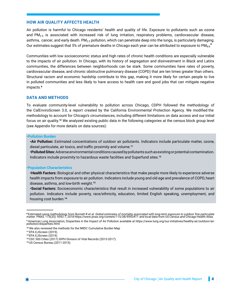#### **HOW AIR QUALITY AFFECTS HEALTH**

Air pollution is harmful to Chicago residents' health and quality of life. Exposure to pollutants such as ozone and  $PM_{2.5}$  is associated with increased risk of lung irritation, respiratory problems, cardiovascular disease, asthma, cancer, and early death.  $PM_{2.5}$  pollution, which can penetrate deep into the lungs, is particularly damaging. Our estimates suggest that 5% of premature deaths in Chicago each year can be attributed to exposure to PM**2.5. 8**

Communities with low socioeconomic status and high rates of chronic health conditions are especially vulnerable to the impacts of air pollution. In Chicago, with its history of segregation and disinvestment in Black and Latinx communities, the differences between neighborhoods can be stark. Some communities have rates of poverty, cardiovascular disease, and chronic obstructive pulmonary disease (COPD) that are ten times greater than others. Structural racism and economic hardship contribute to this gap, making it more likely for certain people to live in polluted communities and less likely to have access to health care and good jobs that can mitigate negative impacts.**9**

#### **DATA AND METHODS**

To evaluate community-level vulnerability to pollution across Chicago, CDPH followed the methodology of the CalEnviroScreen 3.0, a report created by the California Environmental Protection Agency. We modified the methodology to account for Chicago's circumstances, including different limitations on data access and our initial focus on air quality.**<sup>10</sup>** We analyzed existing public data in the following categories at the census block group level (see Appendix for more details on data sources):

#### **•Pollution Burden**

**•Air Pollution:** Estimated concentrations of outdoor air pollutants. Indicators include particulate matter, ozone, diesel particulate, air toxics, and traffic proximity and volume.**<sup>11</sup>**

**•Polluted Sites:** Adverse environmental conditions caused by pollutants such as existing or potential contamination. Indicators include proximity to hazardous waste facilities and Superfund sites.**<sup>12</sup>**

#### **•Population Characteristics**

**•Health Factors:** Biological and other physical characteristics that make people more likely to experience adverse health impacts from exposure to air pollution. Indicators include young and old age and prevalence of COPD, heart disease, asthma, and low-birth weight.**<sup>13</sup>**

**•Social Factors:** Socioeconomic characteristics that result in increased vulnerability of some populations to air pollution. Indicators include poverty, race/ethnicity, education, limited English speaking, unemployment, and housing cost burden.**<sup>14</sup>**

**<sup>8</sup>**Estimated using methodology from Burnett R et al. *Global estimates of mortality associated with long-term exposure to outdoor fine particulate matter*. PNAS 115(33): 9592-7, 2018 [https://www.pnas.org/content/115/38/9592#T1](https://www.pnas.org/content/115/38/9592) and local data from US Census and Chicago Health Atlas.

**<sup>9</sup>**American Lung Association, Disparities in the Impact of Air Pollution available at [https://www.lung.org/our-initiatives/healthy-air/outdoor/air](https://www.lung.org/our-initiatives/healthy-air/outdoor/air-pollution/disparities.html)[pollution/disparities.html](https://www.lung.org/our-initiatives/healthy-air/outdoor/air-pollution/disparities.html)

**<sup>10</sup>** We also reviewed the methods for the [NRDC Cumulative Burden Map](https://www.nrdc.org/experts/meleah-geertsma/new-map-shows-chicago-needs-environmental-justice-reforms)

**<sup>11</sup>**[EPA EJS](https://www.lung.org/assets/documents/healthy-air/state-of-the-air/sota-2019-full.pdf)creen (2019).

**<sup>12</sup>** EPA EJScreen (2019).

**<sup>13</sup>**CDC 500 Cities (2017) IDPH Division of Vital Records (2013-2017).

**<sup>14</sup>**US Census Bureau (2011-2015).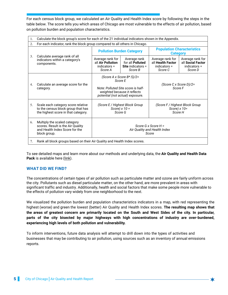For each census block group, we calculated an Air Quality and Health Index score by following the steps in the table below. The score tells you which areas of Chicago are most vulnerable to the effects of air pollution, based on pollution burden and population characteristics.

| 1. | Calculate the block group's score for each of the 21 individual indicators shown in the Appendix.                   |                                                                                                                                                    |                                                                         |                                                                    |                                                                  |  |  |
|----|---------------------------------------------------------------------------------------------------------------------|----------------------------------------------------------------------------------------------------------------------------------------------------|-------------------------------------------------------------------------|--------------------------------------------------------------------|------------------------------------------------------------------|--|--|
| 2. | For each indicator, rank the block group compared to all others in Chicago.                                         |                                                                                                                                                    |                                                                         |                                                                    |                                                                  |  |  |
|    |                                                                                                                     | <b>Pollution Burden Category</b>                                                                                                                   |                                                                         | <b>Population Characteristics</b><br><b>Category</b>               |                                                                  |  |  |
| 3. | Calculate average rank of all<br>indicators within a category's<br>components.                                      | Average rank for<br>all Air Pollution<br>$indicators =$<br>Score A                                                                                 | Average rank<br>for all Polluted<br><b>Site indicators =</b><br>Score B | Average rank for<br>all Health Factor<br>$indicators =$<br>Score C | Average rank for<br>all Social Factor<br>indicators =<br>Score D |  |  |
| 4. | Calculate an average score for the<br>category.                                                                     | (Score A x Score $B^*$ .5)/2=<br>Score E<br>Note: Polluted Site score is half-<br>weighted because it reflects<br>potential (not actual) exposure. |                                                                         | (Score C x Score D)/2=<br>Score F                                  |                                                                  |  |  |
| 5. | Scale each category score relative<br>to the census block group that has<br>the highest score in that category.     | (Score E / Highest Block Group<br>Score) $x 10 =$<br>Score G                                                                                       |                                                                         | (Score F / Highest Block Group<br>Score) $x 10 =$<br>Score H       |                                                                  |  |  |
| 6. | Multiply the scaled category<br>scores. Result is the Air Quality<br>and Health Index Score for the<br>block group. | Score G x Score $H =$<br>Air Quality and Health Index<br>Score                                                                                     |                                                                         |                                                                    |                                                                  |  |  |
| 7. | Rank all block groups based on their Air Quality and Health Index scores.                                           |                                                                                                                                                    |                                                                         |                                                                    |                                                                  |  |  |

To see detailed maps and learn more about our methods and underlying data, the **Air Quality and Health Data Pack** is available here [\(link\)](https://www.chicago.gov/city/en/depts/cdph/provdrs/healthy_communities/svcs/air-quality-and-health.html).

#### **WHAT DID WE FIND?**

The concentrations of certain types of air pollution such as particulate matter and ozone are fairly uniform across the city. Pollutants such as diesel particulate matter, on the other hand, are more prevalent in areas with significant traffic and industry. Additionally, health and social factors that make some people more vulnerable to the effects of pollution vary widely from one neighborhood to the next.

We visualized the pollution burden and population characteristics indicators in a map, with red representing the highest (worse) and green the lowest (better) Air Quality and Health Index scores. **The resulting map shows that the areas of greatest concern are primarily located on the South and West Sides of the city. In particular, parts of the city bisected by major highways with high concentrations of industry are over-burdened, experiencing high levels of both pollution and vulnerability.**

To inform interventions, future data analysis will attempt to drill down into the types of activities and businesses that may be contributing to air pollution, using sources such as an inventory of annual emissions reports.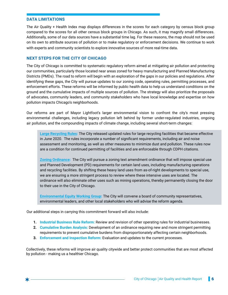#### **DATA LIMITATIONS**

The Air Quality + Health Index map displays differences in the scores for each category by census block group compared to the scores for all other census block groups in Chicago. As such, it may magnify small differences. Additionally, some of our data sources have a substantial time lag. For these reasons, the map should not be used on its own to attribute sources of pollution or to make regulatory or enforcement decisions. We continue to work with experts and community scientists to explore innovative sources of more real-time data.

#### **NEXT STEPS FOR THE CITY OF CHICAGO**

The City of Chicago is committed to systematic regulatory reform aimed at mitigating air pollution and protecting our communities, particularly those located near areas zoned for heavy manufacturing and Planned Manufacturing Districts (PMDs). The road to reform will begin with an exploration of the gaps in our policies and regulations. After identifying these gaps, the City will pursue updates to our zoning code, operating rules, permitting processes, and enforcement efforts. These reforms will be informed by public health data to help us understand conditions on the ground and the cumulative impacts of multiple sources of pollution. The strategy will also prioritize the proposals of advocates, community leaders, and community stakeholders who have local knowledge and expertise on how pollution impacts Chicago's neighborhoods.

Our reforms are part of Mayor Lightfoot's larger environmental vision to confront the city's most pressing environmental challenges, including legacy pollution left behind by former under-regulated industries, ongoing air pollution, and the compounding impacts of climate change, including several short-term changes:

**Large Recycling Rules:** The City released updated rules for large recycling facilities that became effective in June 2020. The rules incorporate a number of significant requirements, including air and noise assessment and monitoring, as well as other measures to minimize dust and pollution. These rules now are a condition for continued permitting of facilities and are enforceable through CDPH citations.

**Zoning Ordinance:** The City will pursue a zoning text amendment ordinance that will impose special use and Planned Development (PD) requirements for certain land uses, including manufacturing operations and recycling facilities. By shifting these heavy land uses from as-of-right developments to special use, we are ensuring a more stringent process to review where these intensive uses are located. The ordinance will also eliminate other uses such as mining operations, thereby permanently closing the door to their use in the City of Chicago.

**Environmental Equity Working Group:** The City will convene a board of community representatives, environmental leaders, and other local stakeholders who will advise the reform agenda.

Our additional steps in carrying this commitment forward will also include:

- **1. Industrial Business Rule Reform:** Review and revision of other operating rules for industrial businesses.
- 2. **Cumulative Burden Analysis:** Development of an ordinance requiring new and more stringent permitting **2.** requirements to prevent cumulative burdens from disproportionately affecting certain neighborhoods.
- **3. Enforcement and Inspection Reform:** Evaluation and updates to the current processes.

Collectively, these reforms will improve air quality citywide and better protect communities that are most affected by pollution - making us a healthier Chicago.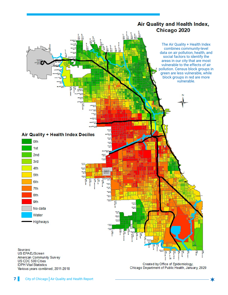

US CDC 500 Cities **IDPH Vital Statistics** Various years combined, 2011-2018

Created by Office of Epidemiology, Chicago Department of Public Health, January, 2020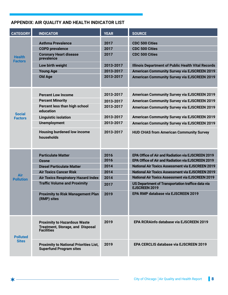#### **APPENDIX: AIR QUALITY AND HEALTH INDICATOR LIST**

| <b>CATEGORY</b>                 | <b>INDICATOR</b>                                                                                    | <b>YEAR</b>  | <b>SOURCE</b>                                                             |
|---------------------------------|-----------------------------------------------------------------------------------------------------|--------------|---------------------------------------------------------------------------|
|                                 | <b>Asthma Prevalence</b><br><b>COPD prevalence</b>                                                  | 2017<br>2017 | <b>CDC 500 Cities</b><br><b>CDC 500 Cities</b>                            |
| <b>Health</b><br><b>Factors</b> | <b>Coronary Heart disease</b><br>prevalence                                                         | 2017         | <b>CDC 500 Cities</b>                                                     |
|                                 | Low birth weight                                                                                    | 2013-2017    | <b>Illinois Department of Public Health Vital Records</b>                 |
|                                 | <b>Young Age</b>                                                                                    | 2013-2017    | <b>American Community Survey via EJSCREEN 2019</b>                        |
|                                 | <b>Old Age</b>                                                                                      | 2013-2017    | <b>American Community Survey via EJSCREEN 2019</b>                        |
|                                 | <b>Percent Low Income</b>                                                                           | 2013-2017    | <b>American Community Survey via EJSCREEN 2019</b>                        |
|                                 | <b>Percent Minority</b>                                                                             | 2013-2017    | <b>American Community Survey via EJSCREEN 2019</b>                        |
| <b>Social</b>                   | Percent less than high school<br>education                                                          | 2013-2017    | <b>American Community Survey via EJSCREEN 2019</b>                        |
| <b>Factors</b>                  | <b>Linguistic isolation</b>                                                                         | 2013-2017    | <b>American Community Survey via EJSCREEN 2019</b>                        |
|                                 | <b>Unemployment</b>                                                                                 | 2013-2017    | <b>American Community Survey via EJSCREEN 2019</b>                        |
|                                 | <b>Housing burdened low income</b><br>households                                                    | 2013-2017    | <b>HUD CHAS from American Community Survey</b>                            |
|                                 | <b>Particulate Matter</b>                                                                           | 2016         | EPA Office of Air and Radiation via EJSCREEN 2019                         |
|                                 | <b>Ozone</b>                                                                                        | 2016         | EPA Office of Air and Radiation via EJSCREEN 2019                         |
|                                 | <b>Diesel Particulate Matter</b>                                                                    | 2014         | <b>National Air Toxics Assessment via EJSCREEN 2019</b>                   |
| <b>Air</b>                      | <b>Air Toxics Cancer Risk</b>                                                                       | 2014         | <b>National Air Toxics Assessment via EJSCREEN 2019</b>                   |
| <b>Pollution</b>                | <b>Air Toxics Respiratory Hazard Index</b>                                                          | 2014         | <b>National Air Toxics Assessment via EJSCREEN 2019</b>                   |
|                                 | <b>Traffic Volume and Proximity</b>                                                                 | 2017         | US Department of Transportation traffice data via<br><b>EJSCREEN 2019</b> |
|                                 | <b>Proximity to Risk Management Plan</b><br>(RMP) sites                                             | 2019         | <b>EPA RMP database via EJSCREEN 2019</b>                                 |
| <b>Polluted</b>                 | <b>Proximity to Hazardous Waste</b><br><b>Treatment, Storage, and Disposal</b><br><b>Facilities</b> | 2019         | <b>EPA RCRAinfo database via EJSCREEN 2019</b>                            |
| <b>Sites</b>                    | <b>Proximity to National Priorities List,</b><br><b>Superfund Program sites</b>                     | 2019         | <b>EPA CERCLIS database via EJSCREEN 2019</b>                             |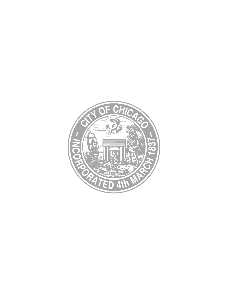